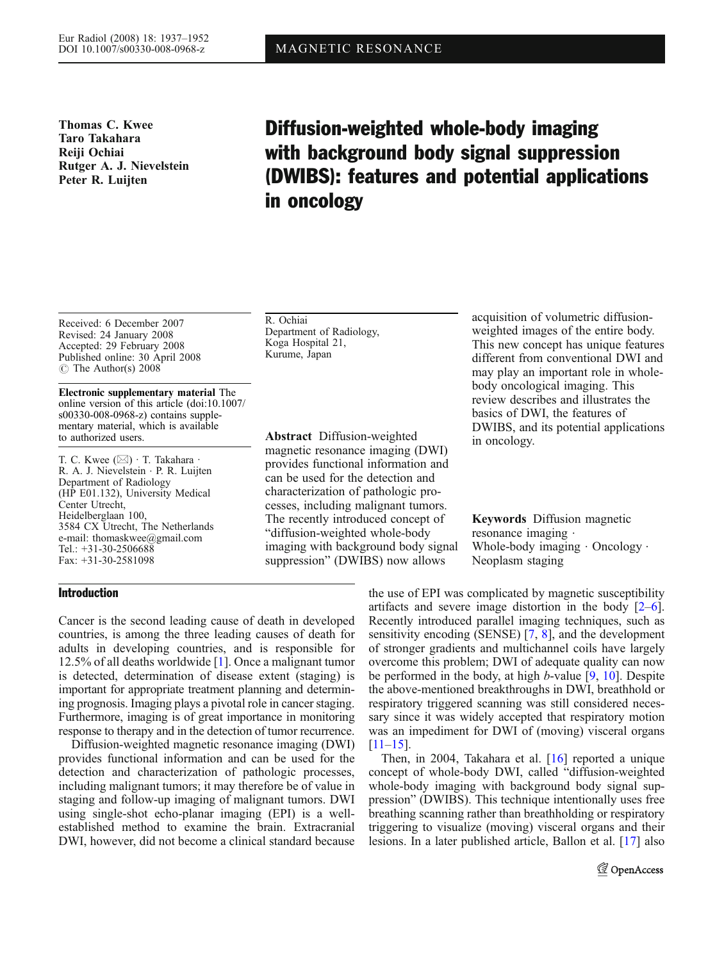Thomas C. Kwee Taro Takahara Reiji Ochiai Rutger A. J. Nievelstein Peter R. Luijten

# Diffusion-weighted whole-body imaging with background body signal suppression (DWIBS): features and potential applications in oncology

Received: 6 December 2007 Revised: 24 January 2008 Accepted: 29 February 2008 Published online: 30 April 2008 *#* The Author(s) 2008

Electronic supplementary material The online version of this article (doi[:10.1007/](http://dx.doi.org/10.1007/s00330-008-0968-z) [s00330-008-0968-z](http://dx.doi.org/10.1007/s00330-008-0968-z)) contains supplementary material, which is available to authorized users.

T. C. Kwee ( $\boxtimes$ )  $\cdot$  T. Takahara  $\cdot$ R. A. J. Nievelstein . P. R. Luijten Department of Radiology (HP E01.132), University Medical Center Utrecht, Heidelberglaan 100, 3584 CX Utrecht, The Netherlands e-mail: thomaskwee@gmail.com Tel.: +31-30-2506688 Fax: +31-30-2581098

## Introduction

Cancer is the second leading cause of death in developed countries, is among the three leading causes of death for adults in developing countries, and is responsible for 12.5% of all deaths worldwide [\[1](#page-14-0)]. Once a malignant tumor is detected, determination of disease extent (staging) is important for appropriate treatment planning and determining prognosis. Imaging plays a pivotal role in cancer staging. Furthermore, imaging is of great importance in monitoring response to therapy and in the detection of tumor recurrence.

Diffusion-weighted magnetic resonance imaging (DWI) provides functional information and can be used for the detection and characterization of pathologic processes, including malignant tumors; it may therefore be of value in staging and follow-up imaging of malignant tumors. DWI using single-shot echo-planar imaging (EPI) is a wellestablished method to examine the brain. Extracranial DWI, however, did not become a clinical standard because

R. Ochiai Department of Radiology, Koga Hospital 21, Kurume, Japan

Abstract Diffusion-weighted magnetic resonance imaging (DWI) provides functional information and can be used for the detection and characterization of pathologic processes, including malignant tumors. The recently introduced concept of "diffusion-weighted whole-body imaging with background body signal suppression" (DWIBS) now allows

acquisition of volumetric diffusionweighted images of the entire body. This new concept has unique features different from conventional DWI and may play an important role in wholebody oncological imaging. This review describes and illustrates the basics of DWI, the features of DWIBS, and its potential applications in oncology.

Keywords Diffusion magnetic resonance imaging . Whole-body imaging  $\cdot$  Oncology  $\cdot$ Neoplasm staging

the use of EPI was complicated by magnetic susceptibility artifacts and severe image distortion in the body  $[2-6]$  $[2-6]$  $[2-6]$  $[2-6]$ . Recently introduced parallel imaging techniques, such as sensitivity encoding (SENSE) [[7,](#page-14-0) [8\]](#page-14-0), and the development of stronger gradients and multichannel coils have largely overcome this problem; DWI of adequate quality can now be performed in the body, at high  $b$ -value  $[9, 10]$  $[9, 10]$  $[9, 10]$  $[9, 10]$  $[9, 10]$ . Despite the above-mentioned breakthroughs in DWI, breathhold or respiratory triggered scanning was still considered necessary since it was widely accepted that respiratory motion was an impediment for DWI of (moving) visceral organs  $[11–15]$  $[11–15]$  $[11–15]$  $[11–15]$ .

Then, in 2004, Takahara et al. [\[16\]](#page-14-0) reported a unique concept of whole-body DWI, called "diffusion-weighted whole-body imaging with background body signal suppression" (DWIBS). This technique intentionally uses free breathing scanning rather than breathholding or respiratory triggering to visualize (moving) visceral organs and their lesions. In a later published article, Ballon et al. [\[17\]](#page-14-0) also

# *A* OpenAccess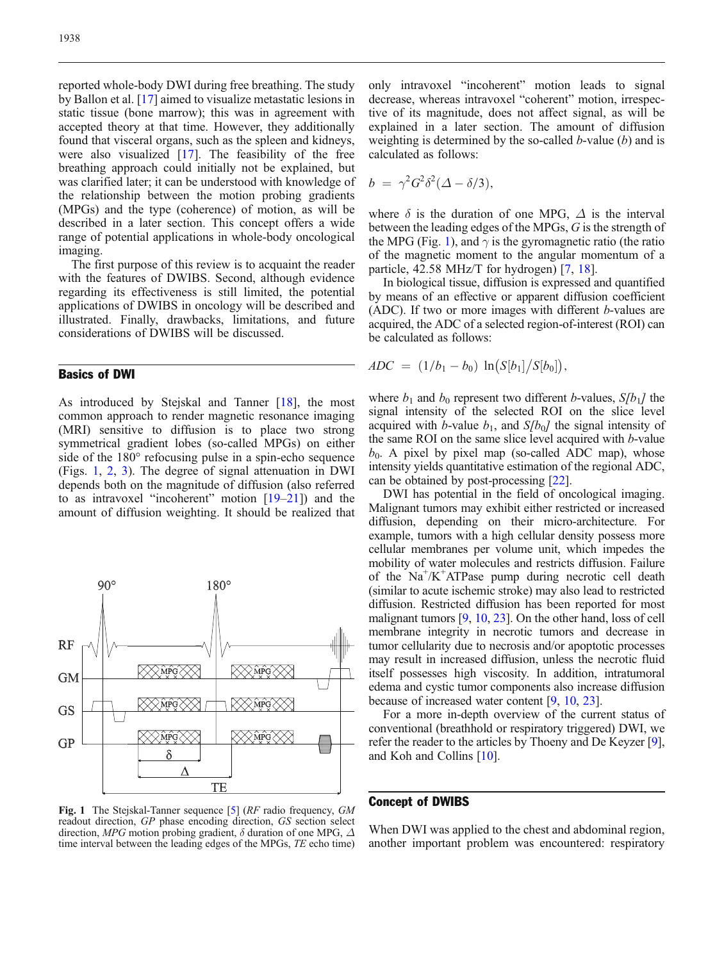<span id="page-1-0"></span>reported whole-body DWI during free breathing. The study by Ballon et al. [\[17\]](#page-14-0) aimed to visualize metastatic lesions in static tissue (bone marrow); this was in agreement with accepted theory at that time. However, they additionally found that visceral organs, such as the spleen and kidneys, were also visualized [\[17\]](#page-14-0). The feasibility of the free breathing approach could initially not be explained, but was clarified later; it can be understood with knowledge of the relationship between the motion probing gradients (MPGs) and the type (coherence) of motion, as will be described in a later section. This concept offers a wide range of potential applications in whole-body oncological imaging.

The first purpose of this review is to acquaint the reader with the features of DWIBS. Second, although evidence regarding its effectiveness is still limited, the potential applications of DWIBS in oncology will be described and illustrated. Finally, drawbacks, limitations, and future considerations of DWIBS will be discussed.

#### Basics of DWI

As introduced by Stejskal and Tanner [[18](#page-14-0)], the most common approach to render magnetic resonance imaging (MRI) sensitive to diffusion is to place two strong symmetrical gradient lobes (so-called MPGs) on either side of the 180° refocusing pulse in a spin-echo sequence (Figs. 1, [2](#page-2-0), [3](#page-3-0)). The degree of signal attenuation in DWI depends both on the magnitude of diffusion (also referred to as intravoxel "incoherent" motion [\[19](#page-14-0)–[21](#page-15-0)]) and the amount of diffusion weighting. It should be realized that



Fig. 1 The Stejskal-Tanner sequence [[5](#page-14-0)] (RF radio frequency, GM readout direction, GP phase encoding direction, GS section select direction, MPG motion probing gradient,  $\delta$  duration of one MPG,  $\Delta$ time interval between the leading edges of the MPGs, TE echo time)

only intravoxel "incoherent" motion leads to signal decrease, whereas intravoxel "coherent" motion, irrespective of its magnitude, does not affect signal, as will be explained in a later section. The amount of diffusion weighting is determined by the so-called  $b$ -value ( $b$ ) and is calculated as follows:

$$
b = \gamma^2 G^2 \delta^2 (\Delta - \delta/3),
$$

where  $\delta$  is the duration of one MPG,  $\Delta$  is the interval between the leading edges of the MPGs, G is the strength of the MPG (Fig. 1), and  $\gamma$  is the gyromagnetic ratio (the ratio of the magnetic moment to the angular momentum of a particle, 42.58 MHz/T for hydrogen) [[7,](#page-14-0) [18](#page-14-0)].

In biological tissue, diffusion is expressed and quantified by means of an effective or apparent diffusion coefficient (ADC). If two or more images with different b-values are acquired, the ADC of a selected region-of-interest (ROI) can be calculated as follows:

$$
ADC = (1/b_1 - b_0) \ln(S[b_1]/S[b_0]),
$$

where  $b_1$  and  $b_0$  represent two different b-values,  $S/b_1$  the signal intensity of the selected ROI on the slice level acquired with b-value  $b_1$ , and  $S/b_0$  the signal intensity of the same ROI on the same slice level acquired with b-value  $b_0$ . A pixel by pixel map (so-called ADC map), whose intensity yields quantitative estimation of the regional ADC, can be obtained by post-processing [[22\]](#page-15-0).

DWI has potential in the field of oncological imaging. Malignant tumors may exhibit either restricted or increased diffusion, depending on their micro-architecture. For example, tumors with a high cellular density possess more cellular membranes per volume unit, which impedes the mobility of water molecules and restricts diffusion. Failure of the Na<sup>+</sup>/K<sup>+</sup>ATPase pump during necrotic cell death (similar to acute ischemic stroke) may also lead to restricted diffusion. Restricted diffusion has been reported for most malignant tumors [\[9,](#page-14-0) [10,](#page-14-0) [23](#page-15-0)]. On the other hand, loss of cell membrane integrity in necrotic tumors and decrease in tumor cellularity due to necrosis and/or apoptotic processes may result in increased diffusion, unless the necrotic fluid itself possesses high viscosity. In addition, intratumoral edema and cystic tumor components also increase diffusion because of increased water content [\[9](#page-14-0), [10](#page-14-0), [23](#page-15-0)].

For a more in-depth overview of the current status of conventional (breathhold or respiratory triggered) DWI, we refer the reader to the articles by Thoeny and De Keyzer [\[9](#page-14-0)], and Koh and Collins [[10\]](#page-14-0).

# Concept of DWIBS

When DWI was applied to the chest and abdominal region, another important problem was encountered: respiratory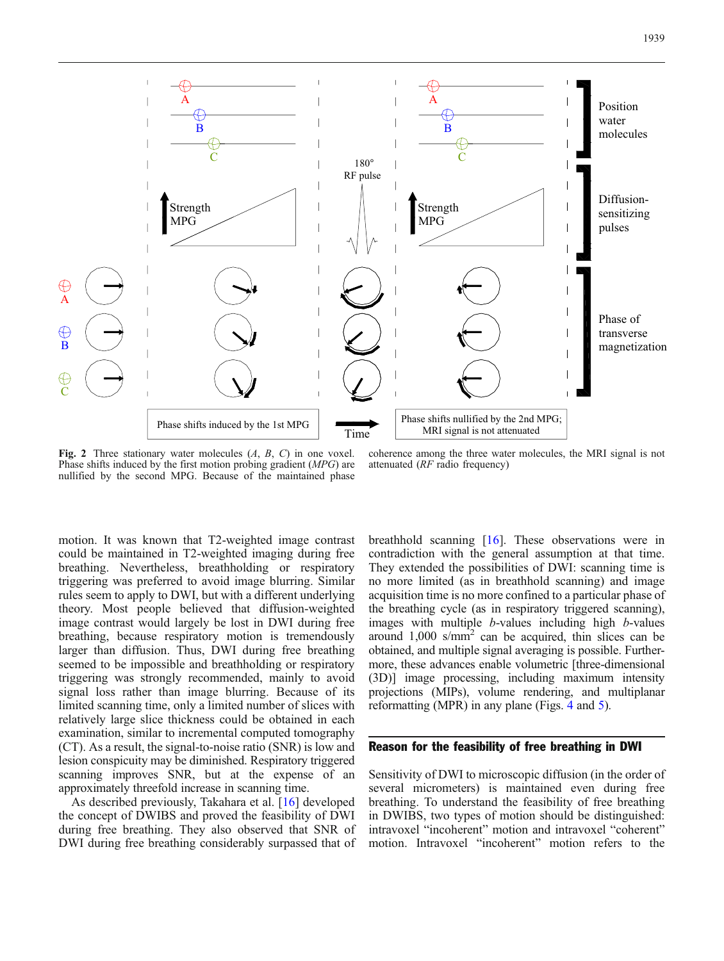<span id="page-2-0"></span>

Fig. 2 Three stationary water molecules  $(A, B, C)$  in one voxel. Phase shifts induced by the first motion probing gradient (MPG) are nullified by the second MPG. Because of the maintained phase

coherence among the three water molecules, the MRI signal is not attenuated (RF radio frequency)

motion. It was known that T2-weighted image contrast could be maintained in T2-weighted imaging during free breathing. Nevertheless, breathholding or respiratory triggering was preferred to avoid image blurring. Similar rules seem to apply to DWI, but with a different underlying theory. Most people believed that diffusion-weighted image contrast would largely be lost in DWI during free breathing, because respiratory motion is tremendously larger than diffusion. Thus, DWI during free breathing seemed to be impossible and breathholding or respiratory triggering was strongly recommended, mainly to avoid signal loss rather than image blurring. Because of its limited scanning time, only a limited number of slices with relatively large slice thickness could be obtained in each examination, similar to incremental computed tomography (CT). As a result, the signal-to-noise ratio (SNR) is low and lesion conspicuity may be diminished. Respiratory triggered scanning improves SNR, but at the expense of an approximately threefold increase in scanning time.

As described previously, Takahara et al. [\[16\]](#page-14-0) developed the concept of DWIBS and proved the feasibility of DWI during free breathing. They also observed that SNR of DWI during free breathing considerably surpassed that of

breathhold scanning [\[16\]](#page-14-0). These observations were in contradiction with the general assumption at that time. They extended the possibilities of DWI: scanning time is no more limited (as in breathhold scanning) and image acquisition time is no more confined to a particular phase of the breathing cycle (as in respiratory triggered scanning), images with multiple b-values including high b-values around  $1,000 \text{ s/mm}^2$  can be acquired, thin slices can be obtained, and multiple signal averaging is possible. Furthermore, these advances enable volumetric [three-dimensional (3D)] image processing, including maximum intensity projections (MIPs), volume rendering, and multiplanar reformatting (MPR) in any plane (Figs. [4](#page-4-0) and [5](#page-6-0)).

# Reason for the feasibility of free breathing in DWI

Sensitivity of DWI to microscopic diffusion (in the order of several micrometers) is maintained even during free breathing. To understand the feasibility of free breathing in DWIBS, two types of motion should be distinguished: intravoxel "incoherent" motion and intravoxel "coherent" motion. Intravoxel "incoherent" motion refers to the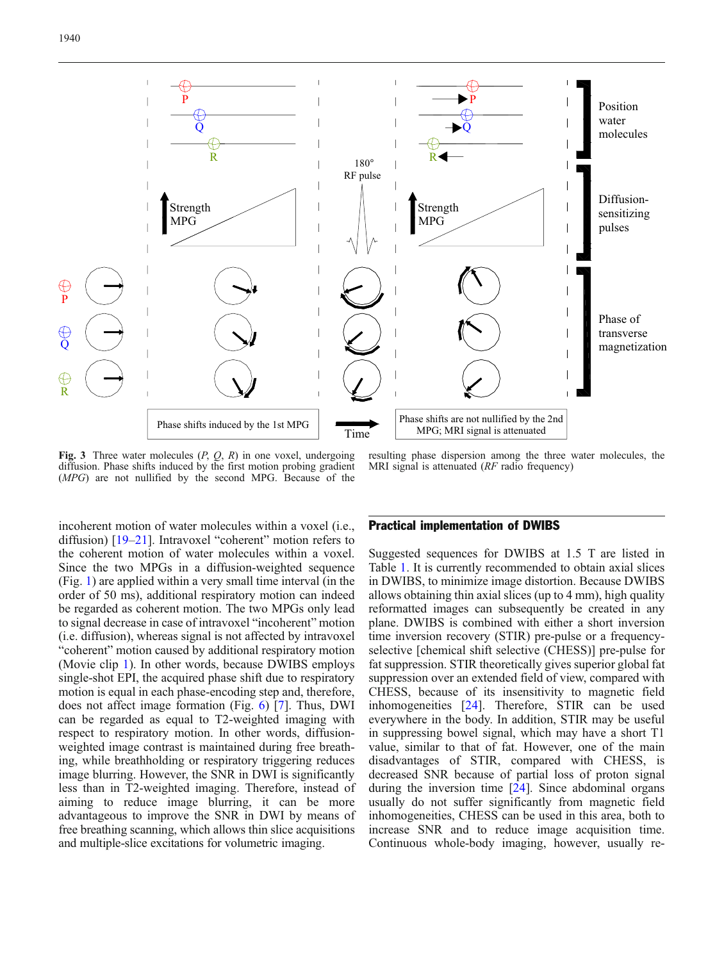<span id="page-3-0"></span>

Fig. 3 Three water molecules  $(P, Q, R)$  in one voxel, undergoing diffusion. Phase shifts induced by the first motion probing gradient (MPG) are not nullified by the second MPG. Because of the

resulting phase dispersion among the three water molecules, the MRI signal is attenuated (RF radio frequency)

incoherent motion of water molecules within a voxel (i.e., diffusion) [\[19](#page-14-0)–[21\]](#page-15-0). Intravoxel "coherent" motion refers to the coherent motion of water molecules within a voxel. Since the two MPGs in a diffusion-weighted sequence (Fig. [1\)](#page-1-0) are applied within a very small time interval (in the order of 50 ms), additional respiratory motion can indeed be regarded as coherent motion. The two MPGs only lead to signal decrease in case of intravoxel "incoherent" motion (i.e. diffusion), whereas signal is not affected by intravoxel "coherent" motion caused by additional respiratory motion (Movie clip 1). In other words, because DWIBS employs single-shot EPI, the acquired phase shift due to respiratory motion is equal in each phase-encoding step and, therefore, does not affect image formation (Fig. [6](#page-7-0)) [[7](#page-14-0)]. Thus, DWI can be regarded as equal to T2-weighted imaging with respect to respiratory motion. In other words, diffusionweighted image contrast is maintained during free breathing, while breathholding or respiratory triggering reduces image blurring. However, the SNR in DWI is significantly less than in T2-weighted imaging. Therefore, instead of aiming to reduce image blurring, it can be more advantageous to improve the SNR in DWI by means of free breathing scanning, which allows thin slice acquisitions and multiple-slice excitations for volumetric imaging.

### Practical implementation of DWIBS

Suggested sequences for DWIBS at 1.5 T are listed in Table [1](#page-5-0). It is currently recommended to obtain axial slices in DWIBS, to minimize image distortion. Because DWIBS allows obtaining thin axial slices (up to 4 mm), high quality reformatted images can subsequently be created in any plane. DWIBS is combined with either a short inversion time inversion recovery (STIR) pre-pulse or a frequencyselective [chemical shift selective (CHESS)] pre-pulse for fat suppression. STIR theoretically gives superior global fat suppression over an extended field of view, compared with CHESS, because of its insensitivity to magnetic field inhomogeneities [[24](#page-15-0)]. Therefore, STIR can be used everywhere in the body. In addition, STIR may be useful in suppressing bowel signal, which may have a short T1 value, similar to that of fat. However, one of the main disadvantages of STIR, compared with CHESS, is decreased SNR because of partial loss of proton signal during the inversion time [\[24\]](#page-15-0). Since abdominal organs usually do not suffer significantly from magnetic field inhomogeneities, CHESS can be used in this area, both to increase SNR and to reduce image acquisition time. Continuous whole-body imaging, however, usually re-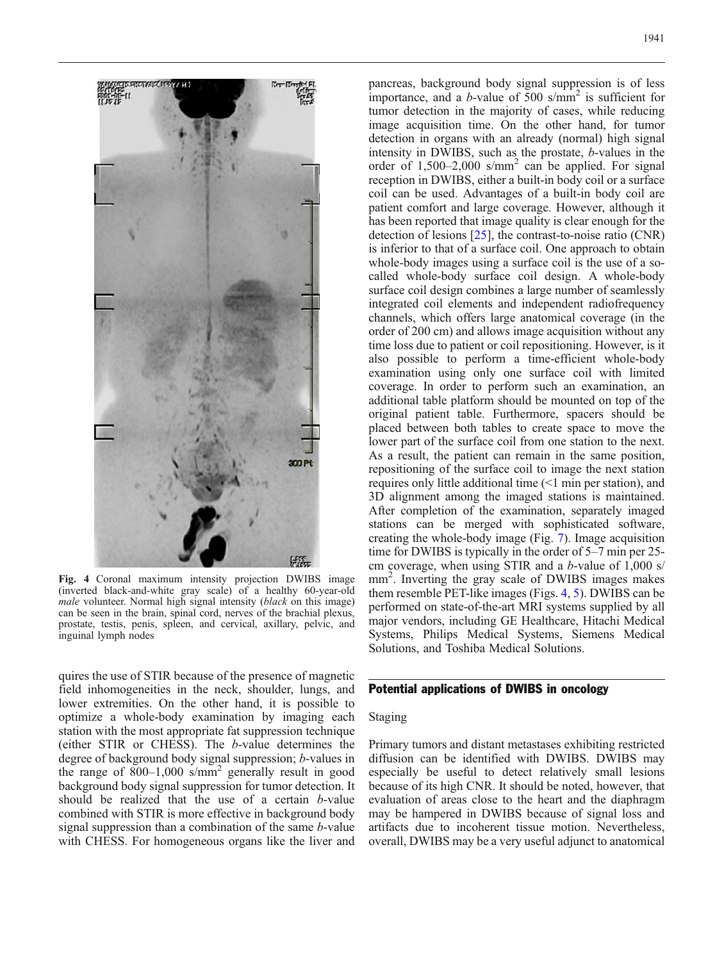<span id="page-4-0"></span>

Fig. 4 Coronal maximum intensity projection DWIBS image (inverted black-and-white gray scale) of a healthy 60-year-old male volunteer. Normal high signal intensity (black on this image) can be seen in the brain, spinal cord, nerves of the brachial plexus, prostate, testis, penis, spleen, and cervical, axillary, pelvic, and inguinal lymph nodes

quires the use of STIR because of the presence of magnetic field inhomogeneities in the neck, shoulder, lungs, and lower extremities. On the other hand, it is possible to optimize a whole-body examination by imaging each station with the most appropriate fat suppression technique (either STIR or CHESS). The b-value determines the degree of background body signal suppression; b-values in the range of  $800-1,000$  s/mm<sup>2</sup> generally result in good background body signal suppression for tumor detection. It should be realized that the use of a certain b-value combined with STIR is more effective in background body signal suppression than a combination of the same b-value with CHESS. For homogeneous organs like the liver and

pancreas, background body signal suppression is of less importance, and a b-value of 500 s/mm<sup>2</sup> is sufficient for tumor detection in the majority of cases, while reducing image acquisition time. On the other hand, for tumor detection in organs with an already (normal) high signal intensity in DWIBS, such as the prostate, b-values in the order of  $1,500-2,000$  s/mm<sup>2</sup> can be applied. For signal reception in DWIBS, either a built-in body coil or a surface coil can be used. Advantages of a built-in body coil are patient comfort and large coverage. However, although it has been reported that image quality is clear enough for the detection of lesions [\[25\]](#page-15-0), the contrast-to-noise ratio (CNR) is inferior to that of a surface coil. One approach to obtain whole-body images using a surface coil is the use of a socalled whole-body surface coil design. A whole-body surface coil design combines a large number of seamlessly integrated coil elements and independent radiofrequency channels, which offers large anatomical coverage (in the order of 200 cm) and allows image acquisition without any time loss due to patient or coil repositioning. However, is it also possible to perform a time-efficient whole-body examination using only one surface coil with limited coverage. In order to perform such an examination, an additional table platform should be mounted on top of the original patient table. Furthermore, spacers should be placed between both tables to create space to move the lower part of the surface coil from one station to the next. As a result, the patient can remain in the same position, repositioning of the surface coil to image the next station requires only little additional time (<1 min per station), and 3D alignment among the imaged stations is maintained. After completion of the examination, separately imaged stations can be merged with sophisticated software, creating the whole-body image (Fig. [7\)](#page-8-0). Image acquisition time for DWIBS is typically in the order of 5–7 min per 25 cm coverage, when using STIR and a  $b$ -value of 1,000 s/ mm<sup>2</sup>. Inverting the gray scale of DWIBS images makes them resemble PET-like images (Figs. 4, [5\)](#page-6-0). DWIBS can be performed on state-of-the-art MRI systems supplied by all major vendors, including GE Healthcare, Hitachi Medical Systems, Philips Medical Systems, Siemens Medical Solutions, and Toshiba Medical Solutions.

# Potential applications of DWIBS in oncology

#### Staging

Primary tumors and distant metastases exhibiting restricted diffusion can be identified with DWIBS. DWIBS may especially be useful to detect relatively small lesions because of its high CNR. It should be noted, however, that evaluation of areas close to the heart and the diaphragm may be hampered in DWIBS because of signal loss and artifacts due to incoherent tissue motion. Nevertheless, overall, DWIBS may be a very useful adjunct to anatomical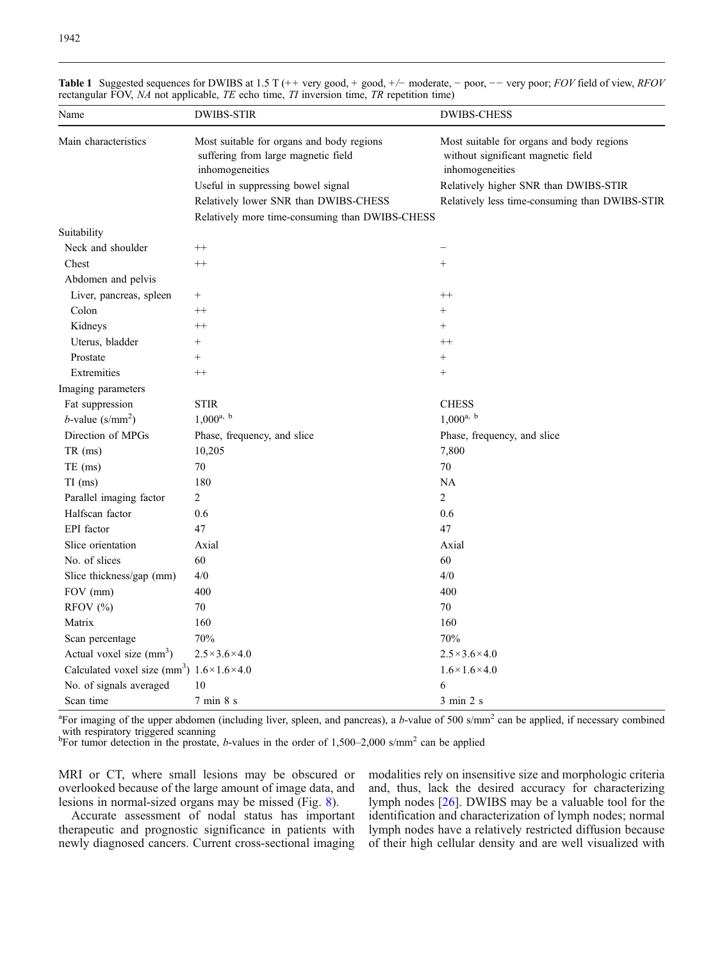| Name                                                                 | <b>DWIBS-STIR</b>                                                                                                                                                                  | <b>DWIBS-CHESS</b>                                                                                                                                                                            |
|----------------------------------------------------------------------|------------------------------------------------------------------------------------------------------------------------------------------------------------------------------------|-----------------------------------------------------------------------------------------------------------------------------------------------------------------------------------------------|
| Main characteristics                                                 | Most suitable for organs and body regions<br>suffering from large magnetic field<br>inhomogeneities<br>Useful in suppressing bowel signal<br>Relatively lower SNR than DWIBS-CHESS | Most suitable for organs and body regions<br>without significant magnetic field<br>inhomogeneities<br>Relatively higher SNR than DWIBS-STIR<br>Relatively less time-consuming than DWIBS-STIR |
|                                                                      | Relatively more time-consuming than DWIBS-CHESS                                                                                                                                    |                                                                                                                                                                                               |
| Suitability                                                          |                                                                                                                                                                                    |                                                                                                                                                                                               |
| Neck and shoulder                                                    | $^{++}$                                                                                                                                                                            | $\overline{\phantom{0}}$                                                                                                                                                                      |
| Chest                                                                | $^{++}$                                                                                                                                                                            | $^{+}$                                                                                                                                                                                        |
| Abdomen and pelvis                                                   |                                                                                                                                                                                    |                                                                                                                                                                                               |
| Liver, pancreas, spleen                                              |                                                                                                                                                                                    | $^{++}$                                                                                                                                                                                       |
| Colon                                                                | $^{++}$                                                                                                                                                                            | $\! + \!\!\!\!$                                                                                                                                                                               |
| Kidneys                                                              | $^{++}$                                                                                                                                                                            | $^{+}$                                                                                                                                                                                        |
| Uterus, bladder                                                      | $^{+}$                                                                                                                                                                             | $^{++}$                                                                                                                                                                                       |
| Prostate                                                             | $^{+}$                                                                                                                                                                             | $^{+}$                                                                                                                                                                                        |
| Extremities                                                          | $^{++}$                                                                                                                                                                            | $\! + \!\!\!\!$                                                                                                                                                                               |
| Imaging parameters                                                   |                                                                                                                                                                                    |                                                                                                                                                                                               |
| Fat suppression                                                      | <b>STIR</b>                                                                                                                                                                        | <b>CHESS</b>                                                                                                                                                                                  |
| <i>b</i> -value ( $s/mm^2$ )                                         | $1,000^{a, b}$                                                                                                                                                                     | $1,000^{a, b}$                                                                                                                                                                                |
| Direction of MPGs                                                    | Phase, frequency, and slice                                                                                                                                                        | Phase, frequency, and slice                                                                                                                                                                   |
| $TR$ (ms)                                                            | 10,205                                                                                                                                                                             | 7,800                                                                                                                                                                                         |
| $TE$ (ms)                                                            | 70                                                                                                                                                                                 | $70\,$                                                                                                                                                                                        |
| $TI$ (ms)                                                            | 180                                                                                                                                                                                | <b>NA</b>                                                                                                                                                                                     |
| Parallel imaging factor                                              | $\overline{c}$                                                                                                                                                                     | $\overline{2}$                                                                                                                                                                                |
| Halfscan factor                                                      | 0.6                                                                                                                                                                                | 0.6                                                                                                                                                                                           |
| EPI factor                                                           | 47                                                                                                                                                                                 | 47                                                                                                                                                                                            |
| Slice orientation                                                    | Axial                                                                                                                                                                              | Axial                                                                                                                                                                                         |
| No. of slices                                                        | 60                                                                                                                                                                                 | 60                                                                                                                                                                                            |
| Slice thickness/gap (mm)                                             | 4/0                                                                                                                                                                                | 4/0                                                                                                                                                                                           |
| FOV (mm)                                                             | 400                                                                                                                                                                                | 400                                                                                                                                                                                           |
| RFOV (%)                                                             | 70                                                                                                                                                                                 | 70                                                                                                                                                                                            |
| Matrix                                                               | 160                                                                                                                                                                                | 160                                                                                                                                                                                           |
| Scan percentage                                                      | 70%                                                                                                                                                                                | 70%                                                                                                                                                                                           |
| Actual voxel size $(mm3)$                                            | $2.5 \times 3.6 \times 4.0$                                                                                                                                                        | $2.5 \times 3.6 \times 4.0$                                                                                                                                                                   |
| Calculated voxel size (mm <sup>3</sup> ) $1.6 \times 1.6 \times 4.0$ |                                                                                                                                                                                    | $1.6 \times 1.6 \times 4.0$                                                                                                                                                                   |
| No. of signals averaged                                              | 10                                                                                                                                                                                 | 6                                                                                                                                                                                             |
| Scan time                                                            | $7 \text{ min } 8 \text{ s}$                                                                                                                                                       | $3 \text{ min } 2 \text{ s}$                                                                                                                                                                  |

<span id="page-5-0"></span>Table 1 Suggested sequences for DWIBS at 1.5 T (++ very good, + good, +/− moderate, - poor, -- very poor; FOV field of view, RFOV rectangular FOV, NA not applicable, TE echo time, TI inversion time, TR repetition time)

<sup>a</sup>For imaging of the upper abdomen (including liver, spleen, and pancreas), a b-value of 500 s/mm<sup>2</sup> can be applied, if necessary combined with respiratory triggered scanning

<sup>b</sup>For tumor detection in the prostate, *b*-values in the order of 1,500–2,000 s/mm<sup>2</sup> can be applied

MRI or CT, where small lesions may be obscured or overlooked because of the large amount of image data, and lesions in normal-sized organs may be missed (Fig. [8](#page-9-0)).

Accurate assessment of nodal status has important therapeutic and prognostic significance in patients with newly diagnosed cancers. Current cross-sectional imaging modalities rely on insensitive size and morphologic criteria and, thus, lack the desired accuracy for characterizing lymph nodes [[26](#page-15-0)]. DWIBS may be a valuable tool for the identification and characterization of lymph nodes; normal lymph nodes have a relatively restricted diffusion because of their high cellular density and are well visualized with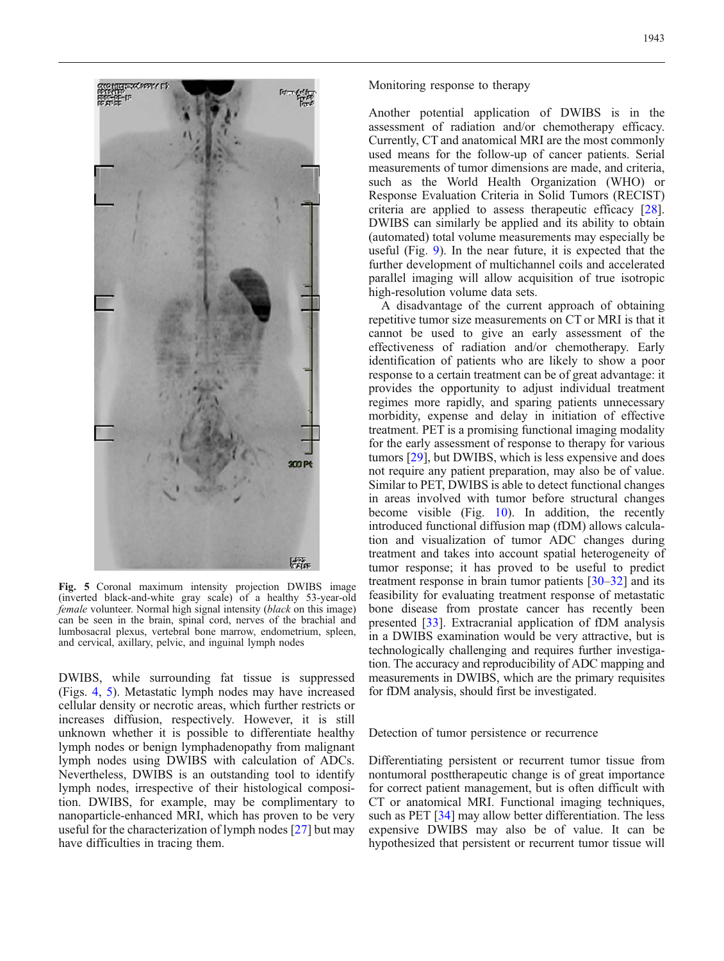<span id="page-6-0"></span>

Fig. 5 Coronal maximum intensity projection DWIBS image (inverted black-and-white gray scale) of a healthy 53-year-old female volunteer. Normal high signal intensity (black on this image) can be seen in the brain, spinal cord, nerves of the brachial and lumbosacral plexus, vertebral bone marrow, endometrium, spleen, and cervical, axillary, pelvic, and inguinal lymph nodes

DWIBS, while surrounding fat tissue is suppressed (Figs. [4](#page-4-0), 5). Metastatic lymph nodes may have increased cellular density or necrotic areas, which further restricts or increases diffusion, respectively. However, it is still unknown whether it is possible to differentiate healthy lymph nodes or benign lymphadenopathy from malignant lymph nodes using DWIBS with calculation of ADCs. Nevertheless, DWIBS is an outstanding tool to identify lymph nodes, irrespective of their histological composition. DWIBS, for example, may be complimentary to nanoparticle-enhanced MRI, which has proven to be very useful for the characterization of lymph nodes [\[27\]](#page-15-0) but may have difficulties in tracing them.

#### Monitoring response to therapy

Another potential application of DWIBS is in the assessment of radiation and/or chemotherapy efficacy. Currently, CT and anatomical MRI are the most commonly used means for the follow-up of cancer patients. Serial measurements of tumor dimensions are made, and criteria, such as the World Health Organization (WHO) or Response Evaluation Criteria in Solid Tumors (RECIST) criteria are applied to assess therapeutic efficacy [[28](#page-15-0)]. DWIBS can similarly be applied and its ability to obtain (automated) total volume measurements may especially be useful (Fig. [9\)](#page-9-0). In the near future, it is expected that the further development of multichannel coils and accelerated parallel imaging will allow acquisition of true isotropic high-resolution volume data sets.

A disadvantage of the current approach of obtaining repetitive tumor size measurements on CT or MRI is that it cannot be used to give an early assessment of the effectiveness of radiation and/or chemotherapy. Early identification of patients who are likely to show a poor response to a certain treatment can be of great advantage: it provides the opportunity to adjust individual treatment regimes more rapidly, and sparing patients unnecessary morbidity, expense and delay in initiation of effective treatment. PET is a promising functional imaging modality for the early assessment of response to therapy for various tumors [[29](#page-15-0)], but DWIBS, which is less expensive and does not require any patient preparation, may also be of value. Similar to PET, DWIBS is able to detect functional changes in areas involved with tumor before structural changes become visible (Fig. [10\)](#page-10-0). In addition, the recently introduced functional diffusion map (fDM) allows calculation and visualization of tumor ADC changes during treatment and takes into account spatial heterogeneity of tumor response; it has proved to be useful to predict treatment response in brain tumor patients [[30](#page-15-0)–[32\]](#page-15-0) and its feasibility for evaluating treatment response of metastatic bone disease from prostate cancer has recently been presented [[33](#page-15-0)]. Extracranial application of fDM analysis in a DWIBS examination would be very attractive, but is technologically challenging and requires further investigation. The accuracy and reproducibility of ADC mapping and measurements in DWIBS, which are the primary requisites for fDM analysis, should first be investigated.

#### Detection of tumor persistence or recurrence

Differentiating persistent or recurrent tumor tissue from nontumoral posttherapeutic change is of great importance for correct patient management, but is often difficult with CT or anatomical MRI. Functional imaging techniques, such as PET [[34\]](#page-15-0) may allow better differentiation. The less expensive DWIBS may also be of value. It can be hypothesized that persistent or recurrent tumor tissue will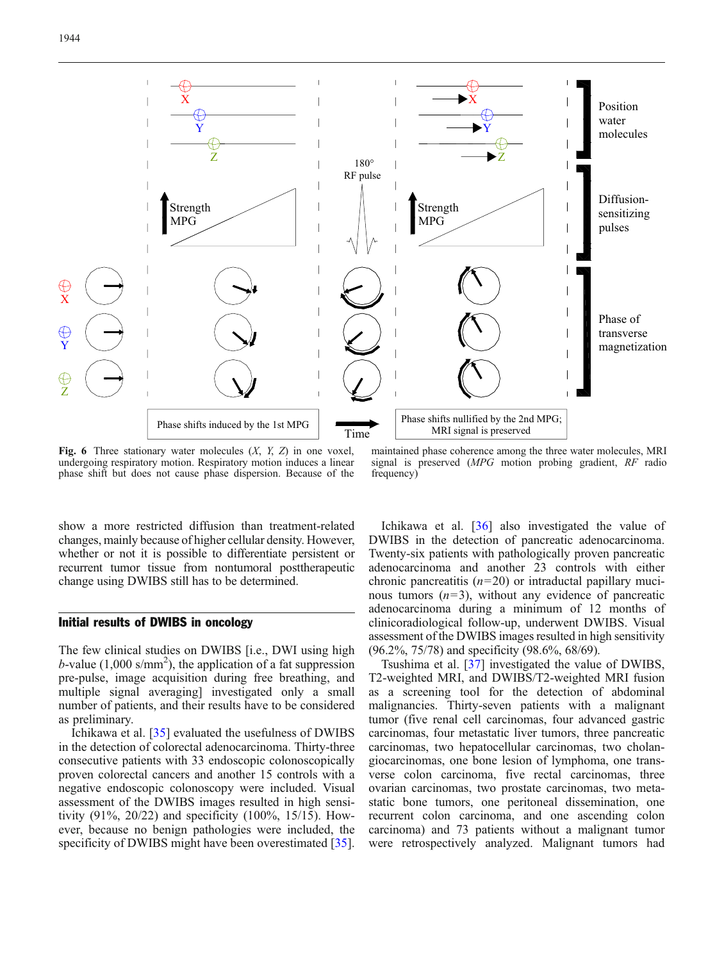<span id="page-7-0"></span>

Fig. 6 Three stationary water molecules  $(X, Y, Z)$  in one voxel, undergoing respiratory motion. Respiratory motion induces a linear phase shift but does not cause phase dispersion. Because of the

maintained phase coherence among the three water molecules, MRI signal is preserved (MPG motion probing gradient, RF radio frequency)

show a more restricted diffusion than treatment-related changes, mainly because of higher cellular density. However, whether or not it is possible to differentiate persistent or recurrent tumor tissue from nontumoral posttherapeutic change using DWIBS still has to be determined.

# Initial results of DWIBS in oncology

The few clinical studies on DWIBS [i.e., DWI using high b-value (1,000 s/mm<sup>2</sup>), the application of a fat suppression pre-pulse, image acquisition during free breathing, and multiple signal averaging] investigated only a small number of patients, and their results have to be considered as preliminary.

Ichikawa et al. [\[35\]](#page-15-0) evaluated the usefulness of DWIBS in the detection of colorectal adenocarcinoma. Thirty-three consecutive patients with 33 endoscopic colonoscopically proven colorectal cancers and another 15 controls with a negative endoscopic colonoscopy were included. Visual assessment of the DWIBS images resulted in high sensitivity (91%, 20/22) and specificity (100%, 15/15). However, because no benign pathologies were included, the specificity of DWIBS might have been overestimated [[35\]](#page-15-0).

Ichikawa et al. [\[36\]](#page-15-0) also investigated the value of DWIBS in the detection of pancreatic adenocarcinoma. Twenty-six patients with pathologically proven pancreatic adenocarcinoma and another 23 controls with either chronic pancreatitis  $(n=20)$  or intraductal papillary mucinous tumors  $(n=3)$ , without any evidence of pancreatic adenocarcinoma during a minimum of 12 months of clinicoradiological follow-up, underwent DWIBS. Visual assessment of the DWIBS images resulted in high sensitivity (96.2%, 75/78) and specificity (98.6%, 68/69).

Tsushima et al. [\[37\]](#page-15-0) investigated the value of DWIBS, T2-weighted MRI, and DWIBS/T2-weighted MRI fusion as a screening tool for the detection of abdominal malignancies. Thirty-seven patients with a malignant tumor (five renal cell carcinomas, four advanced gastric carcinomas, four metastatic liver tumors, three pancreatic carcinomas, two hepatocellular carcinomas, two cholangiocarcinomas, one bone lesion of lymphoma, one transverse colon carcinoma, five rectal carcinomas, three ovarian carcinomas, two prostate carcinomas, two metastatic bone tumors, one peritoneal dissemination, one recurrent colon carcinoma, and one ascending colon carcinoma) and 73 patients without a malignant tumor were retrospectively analyzed. Malignant tumors had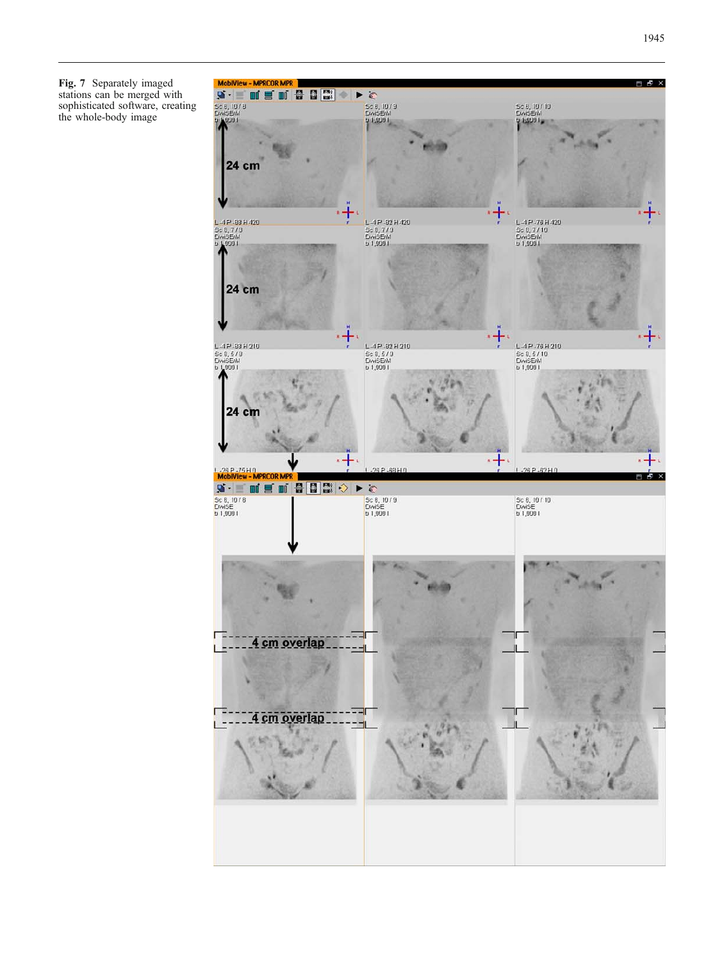<span id="page-8-0"></span>

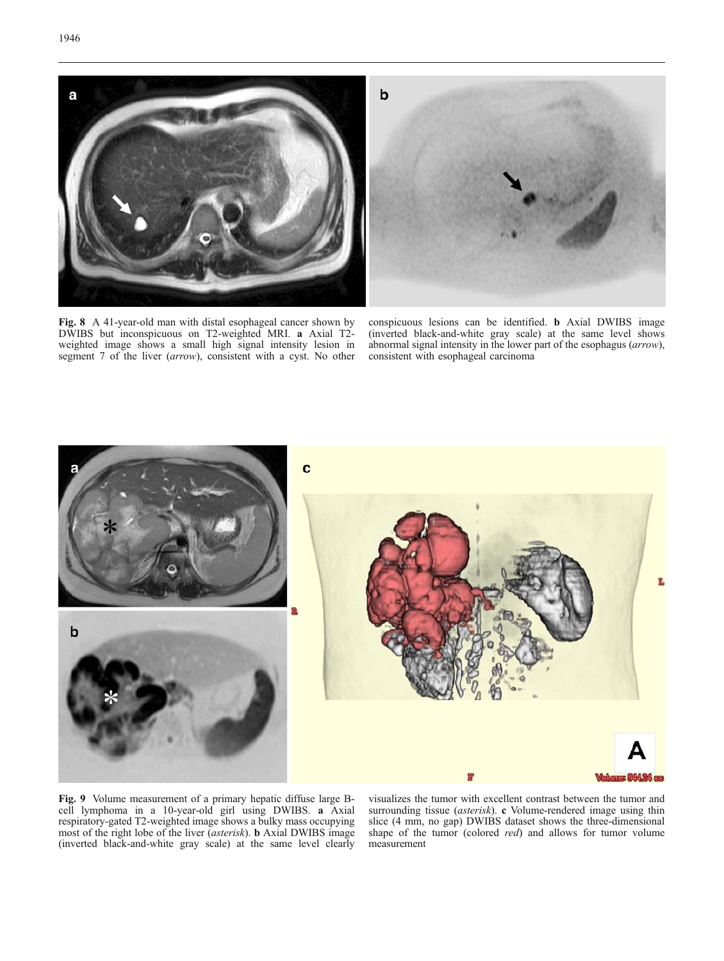Fig. 8 A 41-year-old man with distal esophageal cancer shown by DWIBS but inconspicuous on T2-weighted MRI. a Axial T2 weighted image shows a small high signal intensity lesion in segment 7 of the liver (arrow), consistent with a cyst. No other

most of the right lobe of the liver (asterisk). b Axial DWIBS image (inverted black-and-white gray scale) at the same level clearly

conspicuous lesions can be identified. b Axial DWIBS image (inverted black-and-white gray scale) at the same level shows abnormal signal intensity in the lower part of the esophagus (arrow), consistent with esophageal carcinoma



surrounding tissue *(asterisk)*. c Volume-rendered image using thin slice (4 mm, no gap) DWIBS dataset shows the three-dimensional shape of the tumor (colored *red*) and allows for tumor volume measurement

E

<span id="page-9-0"></span>



C **M4.24 GG**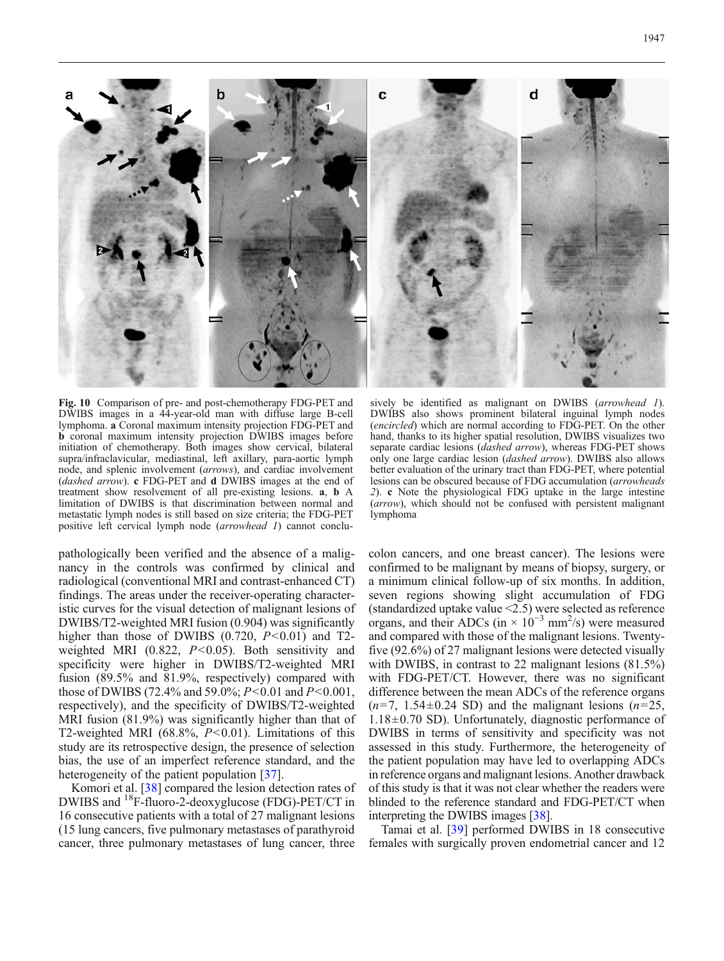<span id="page-10-0"></span>

Fig. 10 Comparison of pre- and post-chemotherapy FDG-PET and DWIBS images in a 44-year-old man with diffuse large B-cell lymphoma. a Coronal maximum intensity projection FDG-PET and b coronal maximum intensity projection DWIBS images before initiation of chemotherapy. Both images show cervical, bilateral supra/infraclavicular, mediastinal, left axillary, para-aortic lymph node, and splenic involvement (arrows), and cardiac involvement (dashed arrow). c FDG-PET and d DWIBS images at the end of treatment show resolvement of all pre-existing lesions. a, b A limitation of DWIBS is that discrimination between normal and metastatic lymph nodes is still based on size criteria; the FDG-PET positive left cervical lymph node (arrowhead 1) cannot conclu-

pathologically been verified and the absence of a malignancy in the controls was confirmed by clinical and radiological (conventional MRI and contrast-enhanced CT) findings. The areas under the receiver-operating characteristic curves for the visual detection of malignant lesions of DWIBS/T2-weighted MRI fusion (0.904) was significantly higher than those of DWIBS  $(0.720, P<0.01)$  and T2weighted MRI (0.822,  $P<0.05$ ). Both sensitivity and specificity were higher in DWIBS/T2-weighted MRI fusion (89.5% and 81.9%, respectively) compared with those of DWIBS (72.4% and 59.0%;  $P < 0.01$  and  $P < 0.001$ , respectively), and the specificity of DWIBS/T2-weighted MRI fusion (81.9%) was significantly higher than that of T2-weighted MRI (68.8%,  $P<0.01$ ). Limitations of this study are its retrospective design, the presence of selection bias, the use of an imperfect reference standard, and the heterogeneity of the patient population [\[37\]](#page-15-0).

Komori et al. [\[38\]](#page-15-0) compared the lesion detection rates of DWIBS and 18F-fluoro-2-deoxyglucose (FDG)-PET/CT in 16 consecutive patients with a total of 27 malignant lesions (15 lung cancers, five pulmonary metastases of parathyroid cancer, three pulmonary metastases of lung cancer, three

sively be identified as malignant on DWIBS (arrowhead 1). DWIBS also shows prominent bilateral inguinal lymph nodes (encircled) which are normal according to FDG-PET. On the other hand, thanks to its higher spatial resolution, DWIBS visualizes two separate cardiac lesions (*dashed arrow*), whereas FDG-PET shows only one large cardiac lesion (dashed arrow). DWIBS also allows better evaluation of the urinary tract than FDG-PET, where potential lesions can be obscured because of FDG accumulation (arrowheads 2). c Note the physiological FDG uptake in the large intestine (arrow), which should not be confused with persistent malignant lymphoma

colon cancers, and one breast cancer). The lesions were confirmed to be malignant by means of biopsy, surgery, or a minimum clinical follow-up of six months. In addition, seven regions showing slight accumulation of FDG (standardized uptake value <2.5) were selected as reference organs, and their ADCs (in  $\times$  10<sup>-3</sup> mm<sup>2</sup>/s) were measured and compared with those of the malignant lesions. Twentyfive (92.6%) of 27 malignant lesions were detected visually with DWIBS, in contrast to 22 malignant lesions (81.5%) with FDG-PET/CT. However, there was no significant difference between the mean ADCs of the reference organs  $(n=7, 1.54\pm0.24$  SD) and the malignant lesions  $(n=25, 1.54\pm0.24)$  $1.18\pm0.70$  SD). Unfortunately, diagnostic performance of DWIBS in terms of sensitivity and specificity was not assessed in this study. Furthermore, the heterogeneity of the patient population may have led to overlapping ADCs in reference organs and malignant lesions. Another drawback of this study is that it was not clear whether the readers were blinded to the reference standard and FDG-PET/CT when interpreting the DWIBS images [[38](#page-15-0)].

Tamai et al. [\[39\]](#page-15-0) performed DWIBS in 18 consecutive females with surgically proven endometrial cancer and 12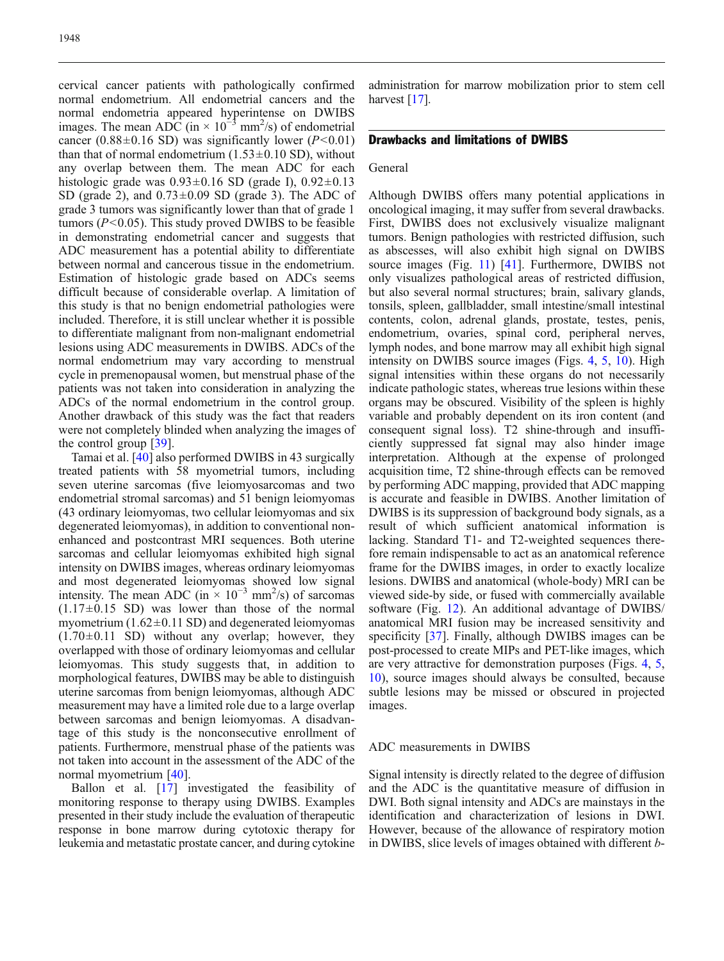cervical cancer patients with pathologically confirmed normal endometrium. All endometrial cancers and the normal endometria appeared hyperintense on DWIBS images. The mean ADC (in  $\times$  10<sup> $-3$ </sup> mm<sup>2</sup>/s) of endometrial cancer (0.88 $\pm$ 0.16 SD) was significantly lower (P<0.01) than that of normal endometrium  $(1.53\pm0.10$  SD), without any overlap between them. The mean ADC for each histologic grade was  $0.93\pm0.16$  SD (grade I),  $0.92\pm0.13$ SD (grade 2), and  $0.73\pm0.09$  SD (grade 3). The ADC of grade 3 tumors was significantly lower than that of grade 1 tumors ( $P<0.05$ ). This study proved DWIBS to be feasible in demonstrating endometrial cancer and suggests that ADC measurement has a potential ability to differentiate between normal and cancerous tissue in the endometrium. Estimation of histologic grade based on ADCs seems difficult because of considerable overlap. A limitation of this study is that no benign endometrial pathologies were included. Therefore, it is still unclear whether it is possible to differentiate malignant from non-malignant endometrial lesions using ADC measurements in DWIBS. ADCs of the normal endometrium may vary according to menstrual cycle in premenopausal women, but menstrual phase of the patients was not taken into consideration in analyzing the ADCs of the normal endometrium in the control group. Another drawback of this study was the fact that readers were not completely blinded when analyzing the images of the control group [\[39\]](#page-15-0).

Tamai et al. [\[40\]](#page-15-0) also performed DWIBS in 43 surgically treated patients with 58 myometrial tumors, including seven uterine sarcomas (five leiomyosarcomas and two endometrial stromal sarcomas) and 51 benign leiomyomas (43 ordinary leiomyomas, two cellular leiomyomas and six degenerated leiomyomas), in addition to conventional nonenhanced and postcontrast MRI sequences. Both uterine sarcomas and cellular leiomyomas exhibited high signal intensity on DWIBS images, whereas ordinary leiomyomas and most degenerated leiomyomas showed low signal intensity. The mean ADC (in  $\times$  10<sup>-3</sup> mm<sup>2</sup>/s) of sarcomas  $(1.17\pm0.15$  SD) was lower than those of the normal myometrium  $(1.62\pm0.11$  SD) and degenerated leiomyomas  $(1.70\pm0.11$  SD) without any overlap; however, they overlapped with those of ordinary leiomyomas and cellular leiomyomas. This study suggests that, in addition to morphological features, DWIBS may be able to distinguish uterine sarcomas from benign leiomyomas, although ADC measurement may have a limited role due to a large overlap between sarcomas and benign leiomyomas. A disadvantage of this study is the nonconsecutive enrollment of patients. Furthermore, menstrual phase of the patients was not taken into account in the assessment of the ADC of the normal myometrium [[40](#page-15-0)].

Ballon et al. [\[17\]](#page-14-0) investigated the feasibility of monitoring response to therapy using DWIBS. Examples presented in their study include the evaluation of therapeutic response in bone marrow during cytotoxic therapy for leukemia and metastatic prostate cancer, and during cytokine

administration for marrow mobilization prior to stem cell harvest [[17\]](#page-14-0).

#### Drawbacks and limitations of DWIBS

#### General

Although DWIBS offers many potential applications in oncological imaging, it may suffer from several drawbacks. First, DWIBS does not exclusively visualize malignant tumors. Benign pathologies with restricted diffusion, such as abscesses, will also exhibit high signal on DWIBS source images (Fig. [11\)](#page-12-0) [\[41\]](#page-15-0). Furthermore, DWIBS not only visualizes pathological areas of restricted diffusion, but also several normal structures; brain, salivary glands, tonsils, spleen, gallbladder, small intestine/small intestinal contents, colon, adrenal glands, prostate, testes, penis, endometrium, ovaries, spinal cord, peripheral nerves, lymph nodes, and bone marrow may all exhibit high signal intensity on DWIBS source images (Figs. [4,](#page-4-0) [5](#page-6-0), [10\)](#page-10-0). High signal intensities within these organs do not necessarily indicate pathologic states, whereas true lesions within these organs may be obscured. Visibility of the spleen is highly variable and probably dependent on its iron content (and consequent signal loss). T2 shine-through and insufficiently suppressed fat signal may also hinder image interpretation. Although at the expense of prolonged acquisition time, T2 shine-through effects can be removed by performing ADC mapping, provided that ADC mapping is accurate and feasible in DWIBS. Another limitation of DWIBS is its suppression of background body signals, as a result of which sufficient anatomical information is lacking. Standard T1- and T2-weighted sequences therefore remain indispensable to act as an anatomical reference frame for the DWIBS images, in order to exactly localize lesions. DWIBS and anatomical (whole-body) MRI can be viewed side-by side, or fused with commercially available software (Fig. [12\)](#page-13-0). An additional advantage of DWIBS/ anatomical MRI fusion may be increased sensitivity and specificity [\[37\]](#page-15-0). Finally, although DWIBS images can be post-processed to create MIPs and PET-like images, which are very attractive for demonstration purposes (Figs. [4](#page-4-0), [5](#page-6-0), [10\)](#page-10-0), source images should always be consulted, because subtle lesions may be missed or obscured in projected images.

#### ADC measurements in DWIBS

Signal intensity is directly related to the degree of diffusion and the ADC is the quantitative measure of diffusion in DWI. Both signal intensity and ADCs are mainstays in the identification and characterization of lesions in DWI. However, because of the allowance of respiratory motion in DWIBS, slice levels of images obtained with different b-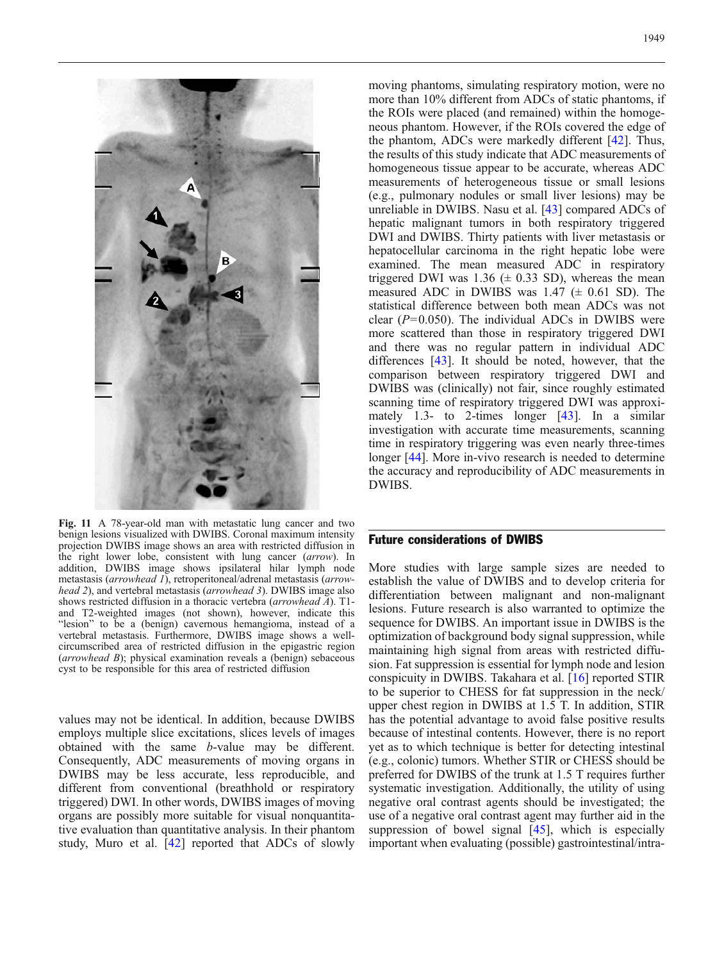<span id="page-12-0"></span>

Fig. 11 A 78-year-old man with metastatic lung cancer and two benign lesions visualized with DWIBS. Coronal maximum intensity projection DWIBS image shows an area with restricted diffusion in the right lower lobe, consistent with lung cancer (arrow). In addition, DWIBS image shows ipsilateral hilar lymph node metastasis (arrowhead 1), retroperitoneal/adrenal metastasis (arrowhead 2), and vertebral metastasis (arrowhead 3). DWIBS image also shows restricted diffusion in a thoracic vertebra (arrowhead  $\vec{A}$ ). T1and T2-weighted images (not shown), however, indicate this "lesion" to be a (benign) cavernous hemangioma, instead of a vertebral metastasis. Furthermore, DWIBS image shows a wellcircumscribed area of restricted diffusion in the epigastric region (arrowhead B); physical examination reveals a (benign) sebaceous cyst to be responsible for this area of restricted diffusion

values may not be identical. In addition, because DWIBS employs multiple slice excitations, slices levels of images obtained with the same b-value may be different. Consequently, ADC measurements of moving organs in DWIBS may be less accurate, less reproducible, and different from conventional (breathhold or respiratory triggered) DWI. In other words, DWIBS images of moving organs are possibly more suitable for visual nonquantitative evaluation than quantitative analysis. In their phantom study, Muro et al. [[42\]](#page-15-0) reported that ADCs of slowly moving phantoms, simulating respiratory motion, were no more than 10% different from ADCs of static phantoms, if the ROIs were placed (and remained) within the homogeneous phantom. However, if the ROIs covered the edge of the phantom, ADCs were markedly different [\[42\]](#page-15-0). Thus, the results of this study indicate that ADC measurements of homogeneous tissue appear to be accurate, whereas ADC measurements of heterogeneous tissue or small lesions (e.g., pulmonary nodules or small liver lesions) may be unreliable in DWIBS. Nasu et al. [[43](#page-15-0)] compared ADCs of hepatic malignant tumors in both respiratory triggered DWI and DWIBS. Thirty patients with liver metastasis or hepatocellular carcinoma in the right hepatic lobe were examined. The mean measured ADC in respiratory triggered DWI was  $1.36 \ (\pm 0.33 \ SD)$ , whereas the mean measured ADC in DWIBS was  $1.47 \ (\pm 0.61 \text{ SD})$ . The statistical difference between both mean ADCs was not clear  $(P=0.050)$ . The individual ADCs in DWIBS were more scattered than those in respiratory triggered DWI and there was no regular pattern in individual ADC differences [[43](#page-15-0)]. It should be noted, however, that the comparison between respiratory triggered DWI and DWIBS was (clinically) not fair, since roughly estimated scanning time of respiratory triggered DWI was approximately 1.3- to 2-times longer [[43](#page-15-0)]. In a similar investigation with accurate time measurements, scanning time in respiratory triggering was even nearly three-times longer [\[44\]](#page-15-0). More in-vivo research is needed to determine the accuracy and reproducibility of ADC measurements in DWIBS.

# Future considerations of DWIBS

More studies with large sample sizes are needed to establish the value of DWIBS and to develop criteria for differentiation between malignant and non-malignant lesions. Future research is also warranted to optimize the sequence for DWIBS. An important issue in DWIBS is the optimization of background body signal suppression, while maintaining high signal from areas with restricted diffusion. Fat suppression is essential for lymph node and lesion conspicuity in DWIBS. Takahara et al. [[16](#page-14-0)] reported STIR to be superior to CHESS for fat suppression in the neck/ upper chest region in DWIBS at 1.5 T. In addition, STIR has the potential advantage to avoid false positive results because of intestinal contents. However, there is no report yet as to which technique is better for detecting intestinal (e.g., colonic) tumors. Whether STIR or CHESS should be preferred for DWIBS of the trunk at 1.5 T requires further systematic investigation. Additionally, the utility of using negative oral contrast agents should be investigated; the use of a negative oral contrast agent may further aid in the suppression of bowel signal [[45](#page-15-0)], which is especially important when evaluating (possible) gastrointestinal/intra-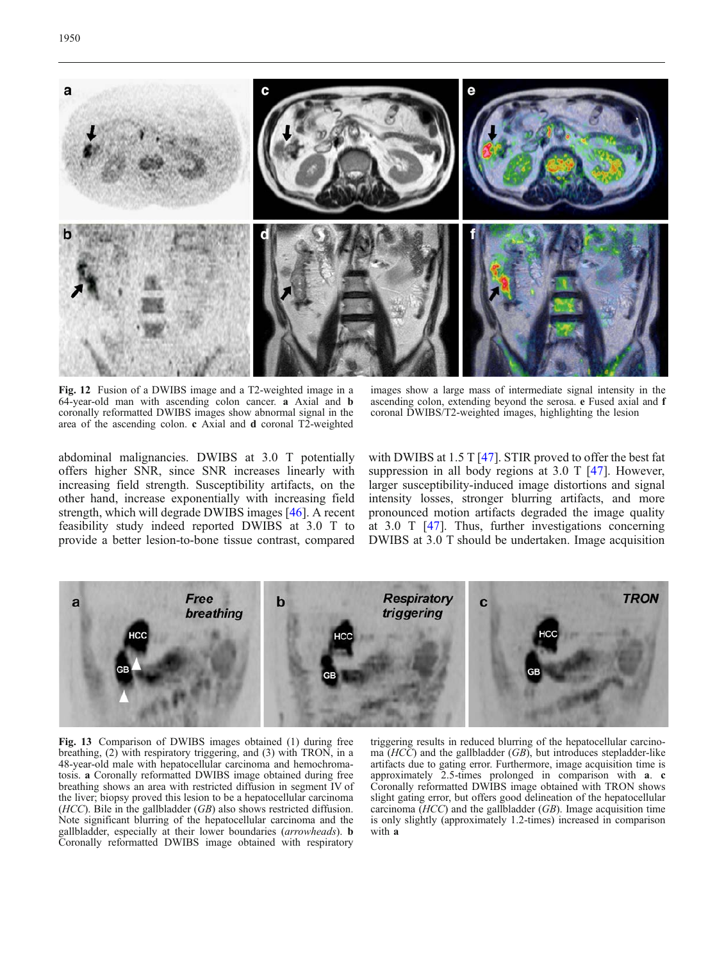<span id="page-13-0"></span>

Fig. 12 Fusion of a DWIBS image and a T2-weighted image in a 64-year-old man with ascending colon cancer. a Axial and b coronally reformatted DWIBS images show abnormal signal in the area of the ascending colon. c Axial and d coronal T2-weighted

images show a large mass of intermediate signal intensity in the ascending colon, extending beyond the serosa. e Fused axial and f coronal DWIBS/T2-weighted images, highlighting the lesion

abdominal malignancies. DWIBS at 3.0 T potentially offers higher SNR, since SNR increases linearly with increasing field strength. Susceptibility artifacts, on the other hand, increase exponentially with increasing field strength, which will degrade DWIBS images [\[46\]](#page-15-0). A recent feasibility study indeed reported DWIBS at 3.0 T to provide a better lesion-to-bone tissue contrast, compared

with DWIBS at 1.5 T  $[47]$ . STIR proved to offer the best fat suppression in all body regions at 3.0 T [\[47\]](#page-15-0). However, larger susceptibility-induced image distortions and signal intensity losses, stronger blurring artifacts, and more pronounced motion artifacts degraded the image quality at 3.0 T [[47\]](#page-15-0). Thus, further investigations concerning DWIBS at 3.0 T should be undertaken. Image acquisition



Fig. 13 Comparison of DWIBS images obtained (1) during free breathing, (2) with respiratory triggering, and (3) with TRON, in a 48-year-old male with hepatocellular carcinoma and hemochromatosis. a Coronally reformatted DWIBS image obtained during free breathing shows an area with restricted diffusion in segment IV of the liver; biopsy proved this lesion to be a hepatocellular carcinoma ( $HCC$ ). Bile in the gallbladder ( $GB$ ) also shows restricted diffusion. Note significant blurring of the hepatocellular carcinoma and the gallbladder, especially at their lower boundaries (arrowheads). b Coronally reformatted DWIBS image obtained with respiratory

triggering results in reduced blurring of the hepatocellular carcinoma  $(HCC)$  and the gallbladder  $(GB)$ , but introduces stepladder-like artifacts due to gating error. Furthermore, image acquisition time is approximately 2.5-times prolonged in comparison with a. c Coronally reformatted DWIBS image obtained with TRON shows slight gating error, but offers good delineation of the hepatocellular carcinoma  $(HCC)$  and the gallbladder  $(GB)$ . Image acquisition time is only slightly (approximately 1.2-times) increased in comparison with a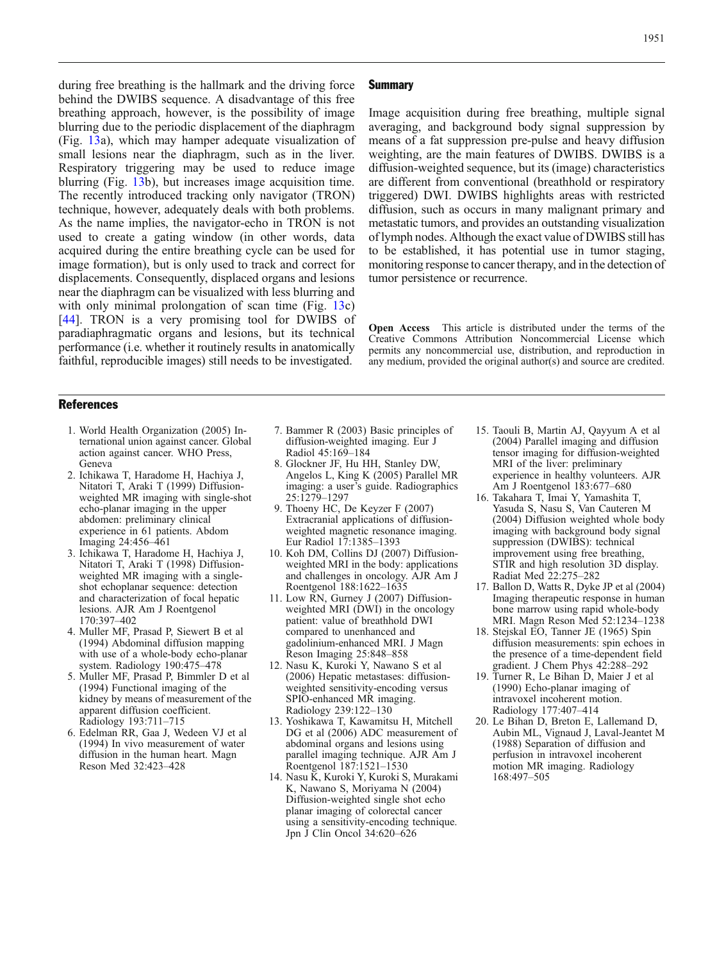<span id="page-14-0"></span>during free breathing is the hallmark and the driving force behind the DWIBS sequence. A disadvantage of this free breathing approach, however, is the possibility of image blurring due to the periodic displacement of the diaphragm (Fig. [13a](#page-13-0)), which may hamper adequate visualization of small lesions near the diaphragm, such as in the liver. Respiratory triggering may be used to reduce image blurring (Fig. [13](#page-13-0)b), but increases image acquisition time. The recently introduced tracking only navigator (TRON) technique, however, adequately deals with both problems. As the name implies, the navigator-echo in TRON is not used to create a gating window (in other words, data acquired during the entire breathing cycle can be used for image formation), but is only used to track and correct for displacements. Consequently, displaced organs and lesions near the diaphragm can be visualized with less blurring and with only minimal prolongation of scan time (Fig. [13](#page-13-0)c) [[44](#page-15-0)]. TRON is a very promising tool for DWIBS of paradiaphragmatic organs and lesions, but its technical performance (i.e. whether it routinely results in anatomically faithful, reproducible images) still needs to be investigated.

#### **Summary**

Image acquisition during free breathing, multiple signal averaging, and background body signal suppression by means of a fat suppression pre-pulse and heavy diffusion weighting, are the main features of DWIBS. DWIBS is a diffusion-weighted sequence, but its (image) characteristics are different from conventional (breathhold or respiratory triggered) DWI. DWIBS highlights areas with restricted diffusion, such as occurs in many malignant primary and metastatic tumors, and provides an outstanding visualization of lymph nodes. Although the exact value of DWIBS still has to be established, it has potential use in tumor staging, monitoring response to cancer therapy, and in the detection of tumor persistence or recurrence.

Open Access This article is distributed under the terms of the Creative Commons Attribution Noncommercial License which permits any noncommercial use, distribution, and reproduction in any medium, provided the original author(s) and source are credited.

# References

- 1. World Health Organization (2005) International union against cancer. Global action against cancer. WHO Press, Geneva
- 2. Ichikawa T, Haradome H, Hachiya J, Nitatori T, Araki T (1999) Diffusionweighted MR imaging with single-shot echo-planar imaging in the upper abdomen: preliminary clinical experience in 61 patients. Abdom Imaging 24:456–461
- 3. Ichikawa T, Haradome H, Hachiya J, Nitatori T, Araki T (1998) Diffusionweighted MR imaging with a singleshot echoplanar sequence: detection and characterization of focal hepatic lesions. AJR Am J Roentgenol 170:397–402
- 4. Muller MF, Prasad P, Siewert B et al (1994) Abdominal diffusion mapping with use of a whole-body echo-planar system. Radiology 190:475–478
- 5. Muller MF, Prasad P, Bimmler D et al (1994) Functional imaging of the kidney by means of measurement of the apparent diffusion coefficient. Radiology 193:711–715
- 6. Edelman RR, Gaa J, Wedeen VJ et al (1994) In vivo measurement of water diffusion in the human heart. Magn Reson Med 32:423–428
- 7. Bammer R (2003) Basic principles of diffusion-weighted imaging. Eur J Radiol 45:169–184
- 8. Glockner JF, Hu HH, Stanley DW, Angelos L, King K (2005) Parallel MR imaging: a user's guide. Radiographics 25:1279–1297
- 9. Thoeny HC, De Keyzer F (2007) Extracranial applications of diffusionweighted magnetic resonance imaging. Eur Radiol 17:1385–1393
- 10. Koh DM, Collins DJ (2007) Diffusionweighted MRI in the body: applications and challenges in oncology. AJR Am J Roentgenol 188:1622–1635
- 11. Low RN, Gurney J (2007) Diffusionweighted MRI (DWI) in the oncology patient: value of breathhold DWI compared to unenhanced and gadolinium-enhanced MRI. J Magn Reson Imaging 25:848–858
- 12. Nasu K, Kuroki Y, Nawano S et al (2006) Hepatic metastases: diffusionweighted sensitivity-encoding versus SPIO-enhanced MR imaging. Radiology 239:122–130
- 13. Yoshikawa T, Kawamitsu H, Mitchell DG et al (2006) ADC measurement of abdominal organs and lesions using parallel imaging technique. AJR Am J Roentgenol 187:1521–1530
- 14. Nasu K, Kuroki Y, Kuroki S, Murakami K, Nawano S, Moriyama N (2004) Diffusion-weighted single shot echo planar imaging of colorectal cancer using a sensitivity-encoding technique. Jpn J Clin Oncol 34:620–626
- 15. Taouli B, Martin AJ, Qayyum A et al (2004) Parallel imaging and diffusion tensor imaging for diffusion-weighted MRI of the liver: preliminary experience in healthy volunteers. AJR Am J Roentgenol 183:677–680
- 16. Takahara T, Imai Y, Yamashita T, Yasuda S, Nasu S, Van Cauteren M (2004) Diffusion weighted whole body imaging with background body signal suppression (DWIBS): technical improvement using free breathing, STIR and high resolution 3D display. Radiat Med 22:275–282
- 17. Ballon D, Watts R, Dyke JP et al (2004) Imaging therapeutic response in human bone marrow using rapid whole-body MRI. Magn Reson Med 52:1234–1238
- 18. Stejskal EO, Tanner JE (1965) Spin diffusion measurements: spin echoes in the presence of a time-dependent field gradient. J Chem Phys 42:288–292
- 19. Turner R, Le Bihan D, Maier J et al (1990) Echo-planar imaging of intravoxel incoherent motion. Radiology 177:407–414
- 20. Le Bihan D, Breton E, Lallemand D, Aubin ML, Vignaud J, Laval-Jeantet M (1988) Separation of diffusion and perfusion in intravoxel incoherent motion MR imaging. Radiology 168:497–505